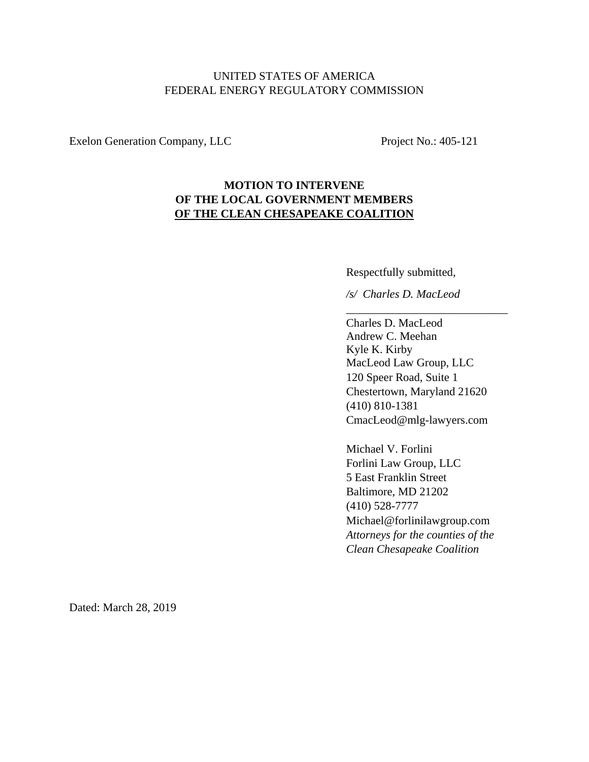## UNITED STATES OF AMERICA FEDERAL ENERGY REGULATORY COMMISSION

Exelon Generation Company, LLC Project No.: 405-121

# **MOTION TO INTERVENE OF THE LOCAL GOVERNMENT MEMBERS OF THE CLEAN CHESAPEAKE COALITION**

Respectfully submitted,

*/s/ Charles D. MacLeod*

 $\overline{\phantom{a}}$  ,  $\overline{\phantom{a}}$  ,  $\overline{\phantom{a}}$  ,  $\overline{\phantom{a}}$  ,  $\overline{\phantom{a}}$  ,  $\overline{\phantom{a}}$  ,  $\overline{\phantom{a}}$  ,  $\overline{\phantom{a}}$  ,  $\overline{\phantom{a}}$  ,  $\overline{\phantom{a}}$  ,  $\overline{\phantom{a}}$  ,  $\overline{\phantom{a}}$  ,  $\overline{\phantom{a}}$  ,  $\overline{\phantom{a}}$  ,  $\overline{\phantom{a}}$  ,  $\overline{\phantom{a}}$ 

Charles D. MacLeod Andrew C. Meehan Kyle K. Kirby MacLeod Law Group, LLC 120 Speer Road, Suite 1 Chestertown, Maryland 21620 (410) 810-1381 CmacLeod@mlg-lawyers.com

Michael V. Forlini Forlini Law Group, LLC 5 East Franklin Street Baltimore, MD 21202 (410) 528-7777 Michael@forlinilawgroup.com *Attorneys for the counties of the Clean Chesapeake Coalition* 

Dated: March 28, 2019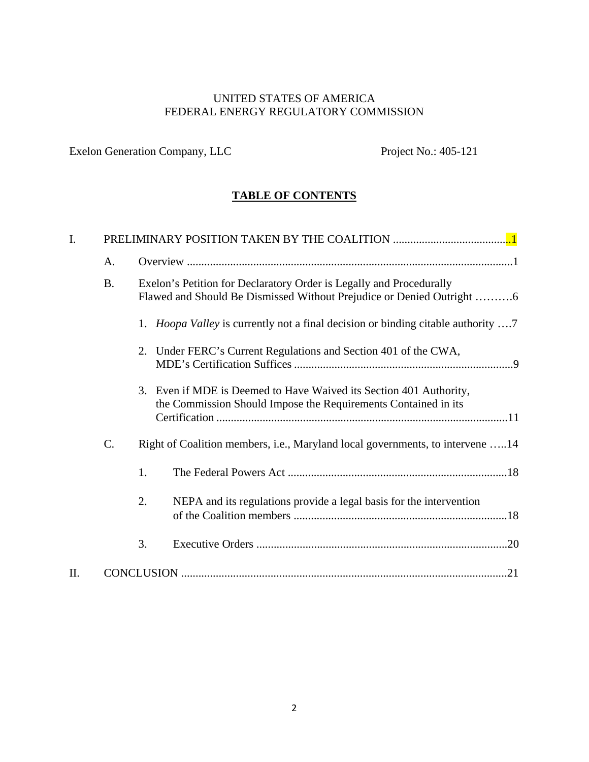# UNITED STATES OF AMERICA FEDERAL ENERGY REGULATORY COMMISSION

Exelon Generation Company, LLC Project No.: 405-121

# **TABLE OF CONTENTS**

| I. |           |                                                                                                                                                                                                                                         |
|----|-----------|-----------------------------------------------------------------------------------------------------------------------------------------------------------------------------------------------------------------------------------------|
|    | A.        |                                                                                                                                                                                                                                         |
|    | <b>B.</b> | Exelon's Petition for Declaratory Order is Legally and Procedurally<br>Flawed and Should Be Dismissed Without Prejudice or Denied Outright 6<br>1. <i>Hoopa Valley</i> is currently not a final decision or binding citable authority 7 |
|    |           | 2. Under FERC's Current Regulations and Section 401 of the CWA,                                                                                                                                                                         |
|    |           | Even if MDE is Deemed to Have Waived its Section 401 Authority,<br>3.<br>the Commission Should Impose the Requirements Contained in its                                                                                                 |
|    | C.        | Right of Coalition members, i.e., Maryland local governments, to intervene 14                                                                                                                                                           |
|    |           | 1.                                                                                                                                                                                                                                      |
|    |           | 2.<br>NEPA and its regulations provide a legal basis for the intervention                                                                                                                                                               |
|    |           | 3.                                                                                                                                                                                                                                      |
| H. |           |                                                                                                                                                                                                                                         |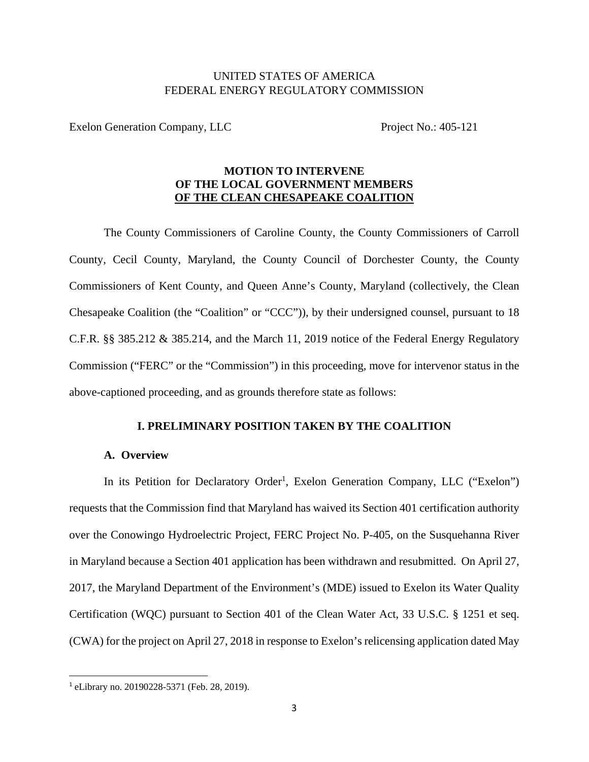### UNITED STATES OF AMERICA FEDERAL ENERGY REGULATORY COMMISSION

Exelon Generation Company, LLC Project No.: 405-121

### **MOTION TO INTERVENE OF THE LOCAL GOVERNMENT MEMBERS OF THE CLEAN CHESAPEAKE COALITION**

The County Commissioners of Caroline County, the County Commissioners of Carroll County, Cecil County, Maryland, the County Council of Dorchester County, the County Commissioners of Kent County, and Queen Anne's County, Maryland (collectively, the Clean Chesapeake Coalition (the "Coalition" or "CCC")), by their undersigned counsel, pursuant to 18 C.F.R. §§ 385.212 & 385.214, and the March 11, 2019 notice of the Federal Energy Regulatory Commission ("FERC" or the "Commission") in this proceeding, move for intervenor status in the above-captioned proceeding, and as grounds therefore state as follows:

#### **I. PRELIMINARY POSITION TAKEN BY THE COALITION**

#### **A. Overview**

In its Petition for Declaratory Order<sup>1</sup>, Exelon Generation Company, LLC ("Exelon") requests that the Commission find that Maryland has waived its Section 401 certification authority over the Conowingo Hydroelectric Project, FERC Project No. P-405, on the Susquehanna River in Maryland because a Section 401 application has been withdrawn and resubmitted. On April 27, 2017, the Maryland Department of the Environment's (MDE) issued to Exelon its Water Quality Certification (WQC) pursuant to Section 401 of the Clean Water Act, 33 U.S.C. § 1251 et seq. (CWA) for the project on April 27, 2018 in response to Exelon's relicensing application dated May

<sup>1</sup> eLibrary no. 20190228-5371 (Feb. 28, 2019).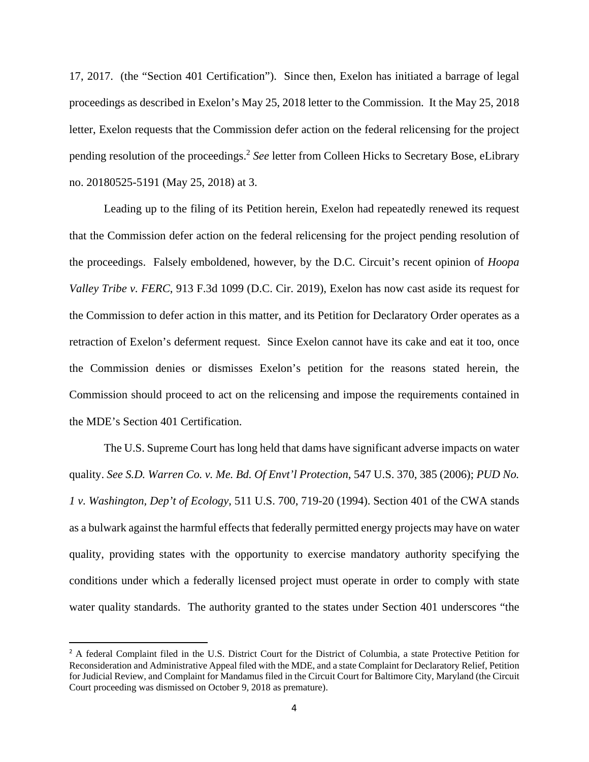17, 2017. (the "Section 401 Certification"). Since then, Exelon has initiated a barrage of legal proceedings as described in Exelon's May 25, 2018 letter to the Commission. It the May 25, 2018 letter, Exelon requests that the Commission defer action on the federal relicensing for the project pending resolution of the proceedings.<sup>2</sup> *See* letter from Colleen Hicks to Secretary Bose, eLibrary no. 20180525-5191 (May 25, 2018) at 3.

Leading up to the filing of its Petition herein, Exelon had repeatedly renewed its request that the Commission defer action on the federal relicensing for the project pending resolution of the proceedings. Falsely emboldened, however, by the D.C. Circuit's recent opinion of *Hoopa Valley Tribe v. FERC*, 913 F.3d 1099 (D.C. Cir. 2019), Exelon has now cast aside its request for the Commission to defer action in this matter, and its Petition for Declaratory Order operates as a retraction of Exelon's deferment request. Since Exelon cannot have its cake and eat it too, once the Commission denies or dismisses Exelon's petition for the reasons stated herein, the Commission should proceed to act on the relicensing and impose the requirements contained in the MDE's Section 401 Certification.

The U.S. Supreme Court has long held that dams have significant adverse impacts on water quality. *See S.D. Warren Co. v. Me. Bd. Of Envt'l Protection*, 547 U.S. 370, 385 (2006); *PUD No. 1 v. Washington, Dep't of Ecology*, 511 U.S. 700, 719-20 (1994). Section 401 of the CWA stands as a bulwark against the harmful effects that federally permitted energy projects may have on water quality, providing states with the opportunity to exercise mandatory authority specifying the conditions under which a federally licensed project must operate in order to comply with state water quality standards. The authority granted to the states under Section 401 underscores "the

<sup>&</sup>lt;sup>2</sup> A federal Complaint filed in the U.S. District Court for the District of Columbia, a state Protective Petition for Reconsideration and Administrative Appeal filed with the MDE, and a state Complaint for Declaratory Relief, Petition for Judicial Review, and Complaint for Mandamus filed in the Circuit Court for Baltimore City, Maryland (the Circuit Court proceeding was dismissed on October 9, 2018 as premature).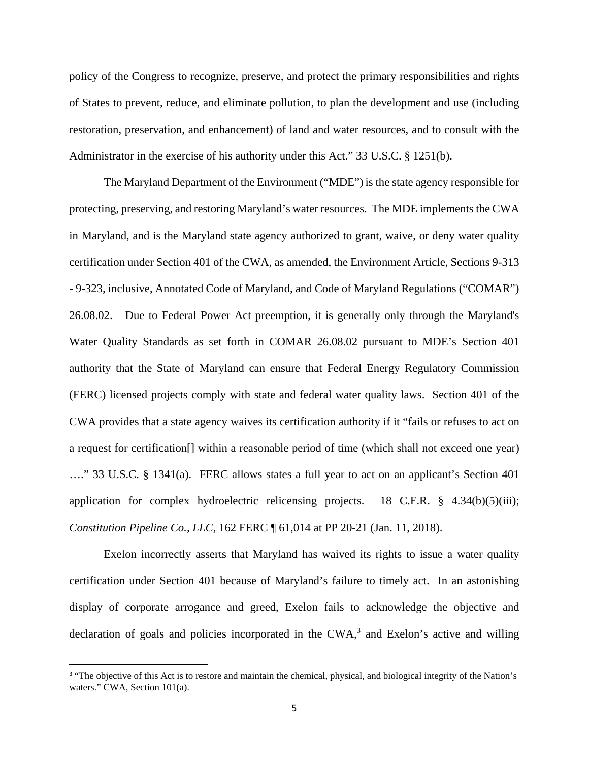policy of the Congress to recognize, preserve, and protect the primary responsibilities and rights of States to prevent, reduce, and eliminate pollution, to plan the development and use (including restoration, preservation, and enhancement) of land and water resources, and to consult with the Administrator in the exercise of his authority under this Act." 33 U.S.C. § 1251(b).

The Maryland Department of the Environment ("MDE") is the state agency responsible for protecting, preserving, and restoring Maryland's water resources. The MDE implements the CWA in Maryland, and is the Maryland state agency authorized to grant, waive, or deny water quality certification under Section 401 of the CWA, as amended, the Environment Article, Sections 9-313 - 9-323, inclusive, Annotated Code of Maryland, and Code of Maryland Regulations ("COMAR") 26.08.02. Due to Federal Power Act preemption, it is generally only through the Maryland's Water Quality Standards as set forth in COMAR 26.08.02 pursuant to MDE's Section 401 authority that the State of Maryland can ensure that Federal Energy Regulatory Commission (FERC) licensed projects comply with state and federal water quality laws. Section 401 of the CWA provides that a state agency waives its certification authority if it "fails or refuses to act on a request for certification[] within a reasonable period of time (which shall not exceed one year) …." 33 U.S.C. § 1341(a). FERC allows states a full year to act on an applicant's Section 401 application for complex hydroelectric relicensing projects. 18 C.F.R. § 4.34(b)(5)(iii); *Constitution Pipeline Co., LLC*, 162 FERC ¶ 61,014 at PP 20-21 (Jan. 11, 2018).

Exelon incorrectly asserts that Maryland has waived its rights to issue a water quality certification under Section 401 because of Maryland's failure to timely act. In an astonishing display of corporate arrogance and greed, Exelon fails to acknowledge the objective and declaration of goals and policies incorporated in the  $CWA$ <sup>3</sup> and Exelon's active and willing

<sup>&</sup>lt;sup>3</sup> "The objective of this Act is to restore and maintain the chemical, physical, and biological integrity of the Nation's waters." CWA, Section 101(a).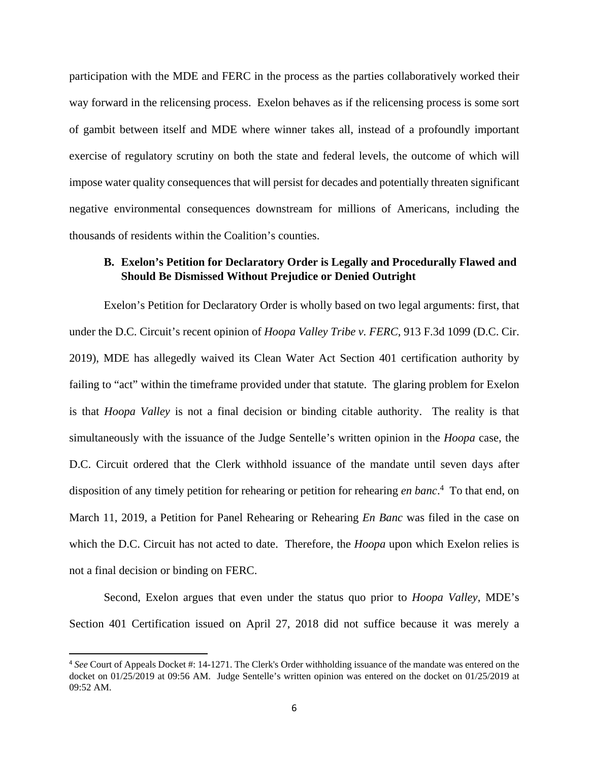participation with the MDE and FERC in the process as the parties collaboratively worked their way forward in the relicensing process. Exelon behaves as if the relicensing process is some sort of gambit between itself and MDE where winner takes all, instead of a profoundly important exercise of regulatory scrutiny on both the state and federal levels, the outcome of which will impose water quality consequences that will persist for decades and potentially threaten significant negative environmental consequences downstream for millions of Americans, including the thousands of residents within the Coalition's counties.

### **B. Exelon's Petition for Declaratory Order is Legally and Procedurally Flawed and Should Be Dismissed Without Prejudice or Denied Outright**

Exelon's Petition for Declaratory Order is wholly based on two legal arguments: first, that under the D.C. Circuit's recent opinion of *Hoopa Valley Tribe v. FERC*, 913 F.3d 1099 (D.C. Cir. 2019), MDE has allegedly waived its Clean Water Act Section 401 certification authority by failing to "act" within the timeframe provided under that statute. The glaring problem for Exelon is that *Hoopa Valley* is not a final decision or binding citable authority. The reality is that simultaneously with the issuance of the Judge Sentelle's written opinion in the *Hoopa* case, the D.C. Circuit ordered that the Clerk withhold issuance of the mandate until seven days after disposition of any timely petition for rehearing or petition for rehearing *en banc*. 4 To that end, on March 11, 2019, a Petition for Panel Rehearing or Rehearing *En Banc* was filed in the case on which the D.C. Circuit has not acted to date. Therefore, the *Hoopa* upon which Exelon relies is not a final decision or binding on FERC.

Second, Exelon argues that even under the status quo prior to *Hoopa Valley*, MDE's Section 401 Certification issued on April 27, 2018 did not suffice because it was merely a

<sup>4</sup> *See* Court of Appeals Docket #: 14-1271. The Clerk's Order withholding issuance of the mandate was entered on the docket on 01/25/2019 at 09:56 AM. Judge Sentelle's written opinion was entered on the docket on 01/25/2019 at 09:52 AM.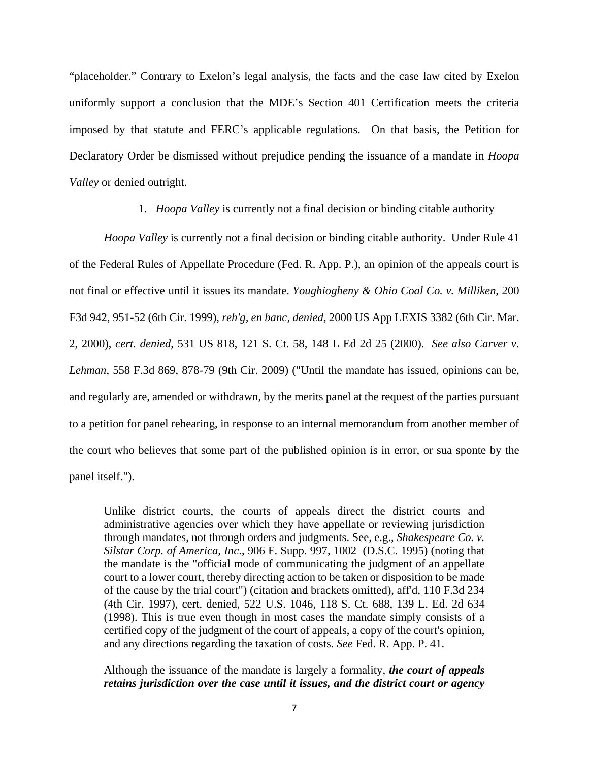"placeholder." Contrary to Exelon's legal analysis, the facts and the case law cited by Exelon uniformly support a conclusion that the MDE's Section 401 Certification meets the criteria imposed by that statute and FERC's applicable regulations. On that basis, the Petition for Declaratory Order be dismissed without prejudice pending the issuance of a mandate in *Hoopa Valley* or denied outright.

1. *Hoopa Valley* is currently not a final decision or binding citable authority

*Hoopa Valley* is currently not a final decision or binding citable authority. Under Rule 41 of the Federal Rules of Appellate Procedure (Fed. R. App. P.), an opinion of the appeals court is not final or effective until it issues its mandate. *Youghiogheny & Ohio Coal Co. v. Milliken*, 200 F3d 942, 951-52 (6th Cir. 1999), *reh'g, en banc, denied*, 2000 US App LEXIS 3382 (6th Cir. Mar. 2, 2000), *cert. denied*, 531 US 818, 121 S. Ct. 58, 148 L Ed 2d 25 (2000). *See also Carver v. Lehman*, 558 F.3d 869, 878-79 (9th Cir. 2009) ("Until the mandate has issued, opinions can be, and regularly are, amended or withdrawn, by the merits panel at the request of the parties pursuant to a petition for panel rehearing, in response to an internal memorandum from another member of the court who believes that some part of the published opinion is in error, or sua sponte by the panel itself.").

Unlike district courts, the courts of appeals direct the district courts and administrative agencies over which they have appellate or reviewing jurisdiction through mandates, not through orders and judgments. See, e.g., *Shakespeare Co. v. Silstar Corp. of America, Inc*., 906 F. Supp. 997, 1002 (D.S.C. 1995) (noting that the mandate is the "official mode of communicating the judgment of an appellate court to a lower court, thereby directing action to be taken or disposition to be made of the cause by the trial court") (citation and brackets omitted), aff'd, 110 F.3d 234 (4th Cir. 1997), cert. denied, 522 U.S. 1046, 118 S. Ct. 688, 139 L. Ed. 2d 634 (1998). This is true even though in most cases the mandate simply consists of a certified copy of the judgment of the court of appeals, a copy of the court's opinion, and any directions regarding the taxation of costs. *See* Fed. R. App. P. 41.

Although the issuance of the mandate is largely a formality, *the court of appeals retains jurisdiction over the case until it issues, and the district court or agency*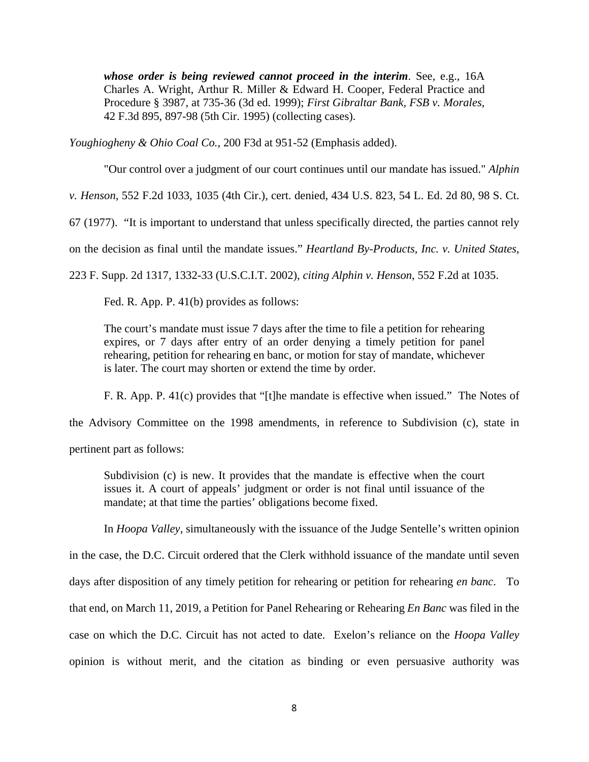*whose order is being reviewed cannot proceed in the interim*. See, e.g., 16A Charles A. Wright, Arthur R. Miller & Edward H. Cooper, Federal Practice and Procedure § 3987, at 735-36 (3d ed. 1999); *First Gibraltar Bank, FSB v. Morales*, 42 F.3d 895, 897-98 (5th Cir. 1995) (collecting cases).

*Youghiogheny & Ohio Coal Co.,* 200 F3d at 951-52 (Emphasis added).

"Our control over a judgment of our court continues until our mandate has issued." *Alphin* 

*v. Henson*, 552 F.2d 1033, 1035 (4th Cir.), cert. denied, 434 U.S. 823, 54 L. Ed. 2d 80, 98 S. Ct.

67 (1977). "It is important to understand that unless specifically directed, the parties cannot rely

on the decision as final until the mandate issues." *Heartland By-Products, Inc. v. United States*,

223 F. Supp. 2d 1317, 1332-33 (U.S.C.I.T. 2002), *citing Alphin v. Henson*, 552 F.2d at 1035.

Fed. R. App. P. 41(b) provides as follows:

The court's mandate must issue 7 days after the time to file a petition for rehearing expires, or 7 days after entry of an order denying a timely petition for panel rehearing, petition for rehearing en banc, or motion for stay of mandate, whichever is later. The court may shorten or extend the time by order.

F. R. App. P. 41(c) provides that "[t]he mandate is effective when issued." The Notes of

the Advisory Committee on the 1998 amendments, in reference to Subdivision (c), state in

pertinent part as follows:

Subdivision (c) is new. It provides that the mandate is effective when the court issues it. A court of appeals' judgment or order is not final until issuance of the mandate; at that time the parties' obligations become fixed.

In *Hoopa Valley*, simultaneously with the issuance of the Judge Sentelle's written opinion

in the case, the D.C. Circuit ordered that the Clerk withhold issuance of the mandate until seven days after disposition of any timely petition for rehearing or petition for rehearing *en banc*. To that end, on March 11, 2019, a Petition for Panel Rehearing or Rehearing *En Banc* was filed in the case on which the D.C. Circuit has not acted to date. Exelon's reliance on the *Hoopa Valley* opinion is without merit, and the citation as binding or even persuasive authority was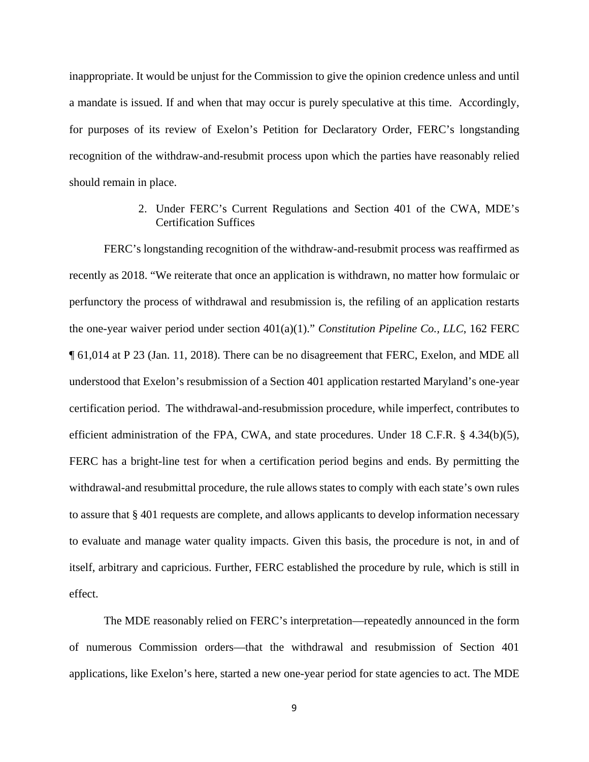inappropriate. It would be unjust for the Commission to give the opinion credence unless and until a mandate is issued. If and when that may occur is purely speculative at this time. Accordingly, for purposes of its review of Exelon's Petition for Declaratory Order, FERC's longstanding recognition of the withdraw-and-resubmit process upon which the parties have reasonably relied should remain in place.

### 2. Under FERC's Current Regulations and Section 401 of the CWA, MDE's Certification Suffices

FERC's longstanding recognition of the withdraw-and-resubmit process was reaffirmed as recently as 2018. "We reiterate that once an application is withdrawn, no matter how formulaic or perfunctory the process of withdrawal and resubmission is, the refiling of an application restarts the one-year waiver period under section 401(a)(1)." *Constitution Pipeline Co., LLC*, 162 FERC ¶ 61,014 at P 23 (Jan. 11, 2018). There can be no disagreement that FERC, Exelon, and MDE all understood that Exelon's resubmission of a Section 401 application restarted Maryland's one-year certification period. The withdrawal-and-resubmission procedure, while imperfect, contributes to efficient administration of the FPA, CWA, and state procedures. Under 18 C.F.R. § 4.34(b)(5), FERC has a bright-line test for when a certification period begins and ends. By permitting the withdrawal-and resubmittal procedure, the rule allows states to comply with each state's own rules to assure that § 401 requests are complete, and allows applicants to develop information necessary to evaluate and manage water quality impacts. Given this basis, the procedure is not, in and of itself, arbitrary and capricious. Further, FERC established the procedure by rule, which is still in effect.

The MDE reasonably relied on FERC's interpretation—repeatedly announced in the form of numerous Commission orders—that the withdrawal and resubmission of Section 401 applications, like Exelon's here, started a new one-year period for state agencies to act. The MDE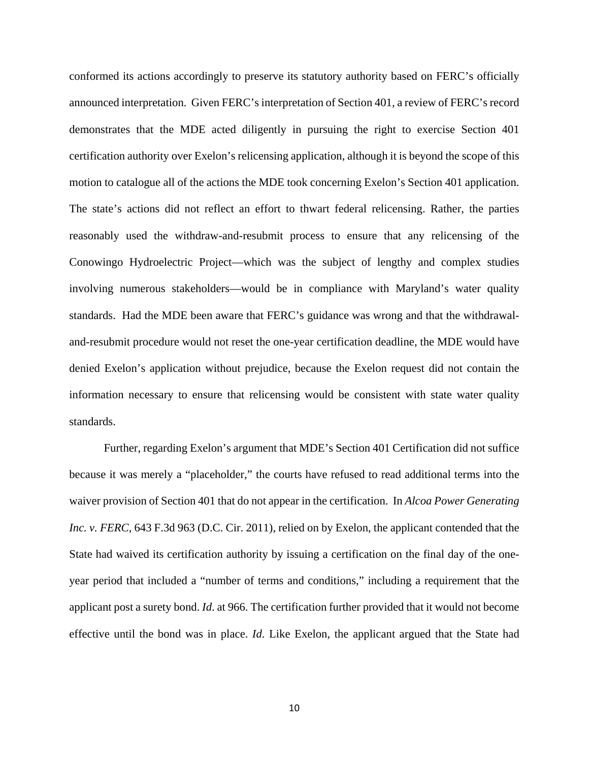conformed its actions accordingly to preserve its statutory authority based on FERC's officially announced interpretation. Given FERC's interpretation of Section 401, a review of FERC's record demonstrates that the MDE acted diligently in pursuing the right to exercise Section 401 certification authority over Exelon's relicensing application, although it is beyond the scope of this motion to catalogue all of the actions the MDE took concerning Exelon's Section 401 application. The state's actions did not reflect an effort to thwart federal relicensing. Rather, the parties reasonably used the withdraw-and-resubmit process to ensure that any relicensing of the Conowingo Hydroelectric Project—which was the subject of lengthy and complex studies involving numerous stakeholders—would be in compliance with Maryland's water quality standards. Had the MDE been aware that FERC's guidance was wrong and that the withdrawaland-resubmit procedure would not reset the one-year certification deadline, the MDE would have denied Exelon's application without prejudice, because the Exelon request did not contain the information necessary to ensure that relicensing would be consistent with state water quality standards.

Further, regarding Exelon's argument that MDE's Section 401 Certification did not suffice because it was merely a "placeholder," the courts have refused to read additional terms into the waiver provision of Section 401 that do not appear in the certification. In *Alcoa Power Generating Inc. v. FERC*, 643 F.3d 963 (D.C. Cir. 2011), relied on by Exelon, the applicant contended that the State had waived its certification authority by issuing a certification on the final day of the oneyear period that included a "number of terms and conditions," including a requirement that the applicant post a surety bond. *Id*. at 966. The certification further provided that it would not become effective until the bond was in place. *Id*. Like Exelon, the applicant argued that the State had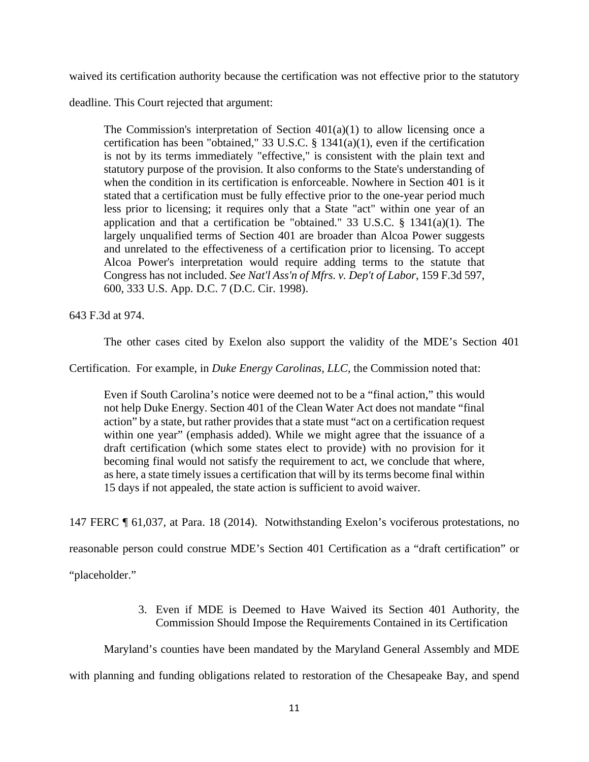waived its certification authority because the certification was not effective prior to the statutory

deadline. This Court rejected that argument:

The Commission's interpretation of Section  $401(a)(1)$  to allow licensing once a certification has been "obtained," 33 U.S.C. § 1341(a)(1), even if the certification is not by its terms immediately "effective," is consistent with the plain text and statutory purpose of the provision. It also conforms to the State's understanding of when the condition in its certification is enforceable. Nowhere in Section 401 is it stated that a certification must be fully effective prior to the one-year period much less prior to licensing; it requires only that a State "act" within one year of an application and that a certification be "obtained." 33 U.S.C. § 1341(a)(1). The largely unqualified terms of Section 401 are broader than Alcoa Power suggests and unrelated to the effectiveness of a certification prior to licensing. To accept Alcoa Power's interpretation would require adding terms to the statute that Congress has not included. *See Nat'l Ass'n of Mfrs. v. Dep't of Labor*, 159 F.3d 597, 600, 333 U.S. App. D.C. 7 (D.C. Cir. 1998).

643 F.3d at 974.

The other cases cited by Exelon also support the validity of the MDE's Section 401

Certification. For example, in *Duke Energy Carolinas, LLC*, the Commission noted that:

Even if South Carolina's notice were deemed not to be a "final action," this would not help Duke Energy. Section 401 of the Clean Water Act does not mandate "final action" by a state, but rather provides that a state must "act on a certification request within one year" (emphasis added). While we might agree that the issuance of a draft certification (which some states elect to provide) with no provision for it becoming final would not satisfy the requirement to act, we conclude that where, as here, a state timely issues a certification that will by its terms become final within 15 days if not appealed, the state action is sufficient to avoid waiver.

147 FERC ¶ 61,037, at Para. 18 (2014). Notwithstanding Exelon's vociferous protestations, no

reasonable person could construe MDE's Section 401 Certification as a "draft certification" or

"placeholder."

3. Even if MDE is Deemed to Have Waived its Section 401 Authority, the Commission Should Impose the Requirements Contained in its Certification

Maryland's counties have been mandated by the Maryland General Assembly and MDE

with planning and funding obligations related to restoration of the Chesapeake Bay, and spend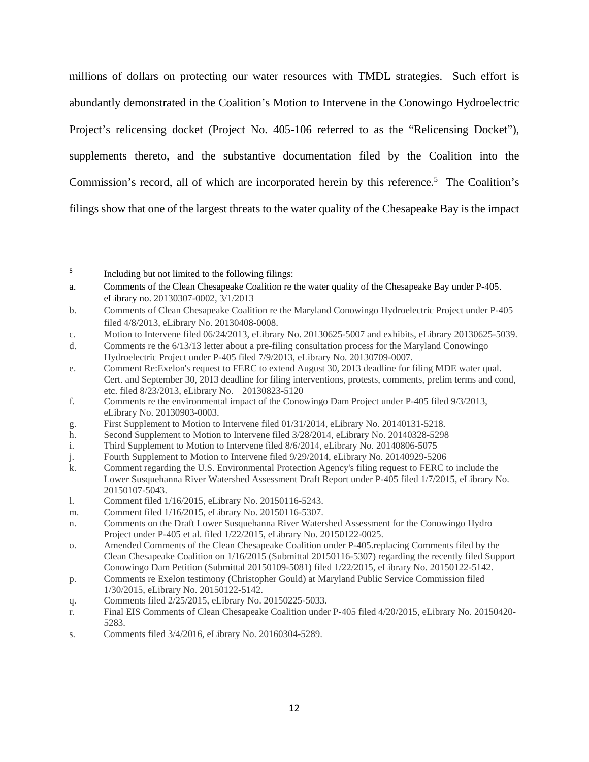millions of dollars on protecting our water resources with TMDL strategies. Such effort is abundantly demonstrated in the Coalition's Motion to Intervene in the Conowingo Hydroelectric Project's relicensing docket (Project No. 405-106 referred to as the "Relicensing Docket"), supplements thereto, and the substantive documentation filed by the Coalition into the Commission's record, all of which are incorporated herein by this reference.<sup>5</sup> The Coalition's filings show that one of the largest threats to the water quality of the Chesapeake Bay is the impact

- q. Comments filed 2/25/2015, eLibrary No. 20150225-5033.
- r. Final EIS Comments of Clean Chesapeake Coalition under P-405 filed 4/20/2015, eLibrary No. 20150420- 5283.
- s. Comments filed 3/4/2016, eLibrary No. 20160304-5289.

<sup>5</sup> Including but not limited to the following filings:

a. Comments of the Clean Chesapeake Coalition re the water quality of the Chesapeake Bay under P-405. eLibrary no. 20130307-0002, 3/1/2013

b. Comments of Clean Chesapeake Coalition re the Maryland Conowingo Hydroelectric Project under P-405 filed 4/8/2013, eLibrary No. 20130408-0008.

c. Motion to Intervene filed 06/24/2013, eLibrary No. 20130625-5007 and exhibits, eLibrary 20130625-5039.

d. Comments re the 6/13/13 letter about a pre-filing consultation process for the Maryland Conowingo Hydroelectric Project under P-405 filed 7/9/2013, eLibrary No. 20130709-0007.

e. Comment Re:Exelon's request to FERC to extend August 30, 2013 deadline for filing MDE water qual. Cert. and September 30, 2013 deadline for filing interventions, protests, comments, prelim terms and cond, etc. filed 8/23/2013, eLibrary No. 20130823-5120

f. Comments re the environmental impact of the Conowingo Dam Project under P-405 filed 9/3/2013, eLibrary No. 20130903-0003.

g. First Supplement to Motion to Intervene filed 01/31/2014, eLibrary No. 20140131-5218.

h. Second Supplement to Motion to Intervene filed 3/28/2014, eLibrary No. 20140328-5298

i. Third Supplement to Motion to Intervene filed 8/6/2014, eLibrary No. 20140806-5075

j. Fourth Supplement to Motion to Intervene filed 9/29/2014, eLibrary No. 20140929-5206

k. Comment regarding the U.S. Environmental Protection Agency's filing request to FERC to include the Lower Susquehanna River Watershed Assessment Draft Report under P-405 filed 1/7/2015, eLibrary No. 20150107-5043.

l. Comment filed 1/16/2015, eLibrary No. 20150116-5243.

m. Comment filed 1/16/2015, eLibrary No. 20150116-5307.

n. Comments on the Draft Lower Susquehanna River Watershed Assessment for the Conowingo Hydro Project under P-405 et al. filed 1/22/2015, eLibrary No. 20150122-0025.

o. Amended Comments of the Clean Chesapeake Coalition under P-405.replacing Comments filed by the Clean Chesapeake Coalition on 1/16/2015 (Submittal 20150116-5307) regarding the recently filed Support Conowingo Dam Petition (Submittal 20150109-5081) filed 1/22/2015, eLibrary No. 20150122-5142.

p. Comments re Exelon testimony (Christopher Gould) at Maryland Public Service Commission filed 1/30/2015, eLibrary No. 20150122-5142.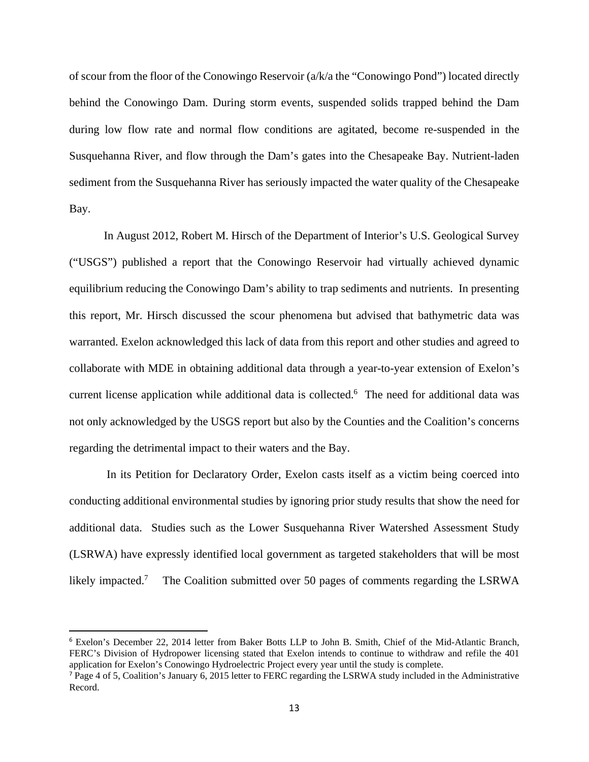of scour from the floor of the Conowingo Reservoir (a/k/a the "Conowingo Pond") located directly behind the Conowingo Dam. During storm events, suspended solids trapped behind the Dam during low flow rate and normal flow conditions are agitated, become re-suspended in the Susquehanna River, and flow through the Dam's gates into the Chesapeake Bay. Nutrient-laden sediment from the Susquehanna River has seriously impacted the water quality of the Chesapeake Bay.

In August 2012, Robert M. Hirsch of the Department of Interior's U.S. Geological Survey ("USGS") published a report that the Conowingo Reservoir had virtually achieved dynamic equilibrium reducing the Conowingo Dam's ability to trap sediments and nutrients. In presenting this report, Mr. Hirsch discussed the scour phenomena but advised that bathymetric data was warranted. Exelon acknowledged this lack of data from this report and other studies and agreed to collaborate with MDE in obtaining additional data through a year-to-year extension of Exelon's current license application while additional data is collected.<sup>6</sup> The need for additional data was not only acknowledged by the USGS report but also by the Counties and the Coalition's concerns regarding the detrimental impact to their waters and the Bay.

 In its Petition for Declaratory Order, Exelon casts itself as a victim being coerced into conducting additional environmental studies by ignoring prior study results that show the need for additional data. Studies such as the Lower Susquehanna River Watershed Assessment Study (LSRWA) have expressly identified local government as targeted stakeholders that will be most likely impacted.<sup>7</sup> The Coalition submitted over 50 pages of comments regarding the LSRWA

<sup>6</sup> Exelon's December 22, 2014 letter from Baker Botts LLP to John B. Smith, Chief of the Mid-Atlantic Branch, FERC's Division of Hydropower licensing stated that Exelon intends to continue to withdraw and refile the 401 application for Exelon's Conowingo Hydroelectric Project every year until the study is complete.

 $<sup>7</sup>$  Page 4 of 5, Coalition's January 6, 2015 letter to FERC regarding the LSRWA study included in the Administrative</sup> Record.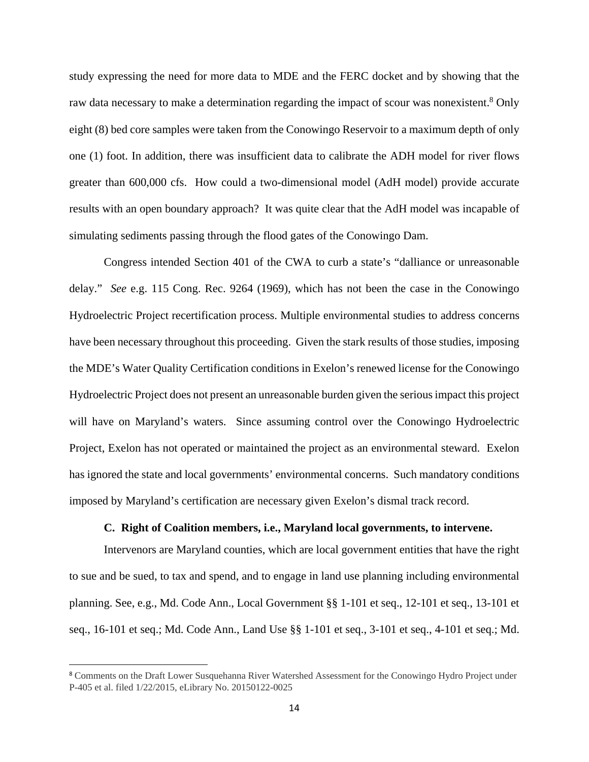study expressing the need for more data to MDE and the FERC docket and by showing that the raw data necessary to make a determination regarding the impact of scour was nonexistent.<sup>8</sup> Only eight (8) bed core samples were taken from the Conowingo Reservoir to a maximum depth of only one (1) foot. In addition, there was insufficient data to calibrate the ADH model for river flows greater than 600,000 cfs. How could a two-dimensional model (AdH model) provide accurate results with an open boundary approach? It was quite clear that the AdH model was incapable of simulating sediments passing through the flood gates of the Conowingo Dam.

Congress intended Section 401 of the CWA to curb a state's "dalliance or unreasonable delay." *See* e.g. 115 Cong. Rec. 9264 (1969), which has not been the case in the Conowingo Hydroelectric Project recertification process. Multiple environmental studies to address concerns have been necessary throughout this proceeding. Given the stark results of those studies, imposing the MDE's Water Quality Certification conditions in Exelon's renewed license for the Conowingo Hydroelectric Project does not present an unreasonable burden given the serious impact this project will have on Maryland's waters. Since assuming control over the Conowingo Hydroelectric Project, Exelon has not operated or maintained the project as an environmental steward. Exelon has ignored the state and local governments' environmental concerns. Such mandatory conditions imposed by Maryland's certification are necessary given Exelon's dismal track record.

#### **C. Right of Coalition members, i.e., Maryland local governments, to intervene.**

Intervenors are Maryland counties, which are local government entities that have the right to sue and be sued, to tax and spend, and to engage in land use planning including environmental planning. See, e.g., Md. Code Ann., Local Government §§ 1-101 et seq., 12-101 et seq., 13-101 et seq., 16-101 et seq.; Md. Code Ann., Land Use §§ 1-101 et seq., 3-101 et seq., 4-101 et seq.; Md.

<sup>8</sup> Comments on the Draft Lower Susquehanna River Watershed Assessment for the Conowingo Hydro Project under P-405 et al. filed 1/22/2015, eLibrary No. 20150122-0025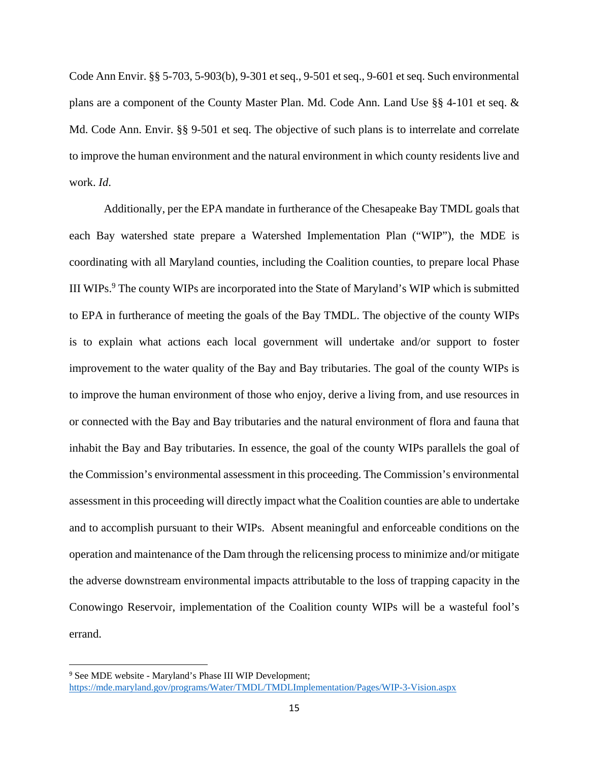Code Ann Envir. §§ 5-703, 5-903(b), 9-301 et seq., 9-501 et seq., 9-601 et seq. Such environmental plans are a component of the County Master Plan. Md. Code Ann. Land Use §§ 4-101 et seq. & Md. Code Ann. Envir. §§ 9-501 et seq. The objective of such plans is to interrelate and correlate to improve the human environment and the natural environment in which county residents live and work. *Id*.

Additionally, per the EPA mandate in furtherance of the Chesapeake Bay TMDL goals that each Bay watershed state prepare a Watershed Implementation Plan ("WIP"), the MDE is coordinating with all Maryland counties, including the Coalition counties, to prepare local Phase III WIPs.<sup>9</sup> The county WIPs are incorporated into the State of Maryland's WIP which is submitted to EPA in furtherance of meeting the goals of the Bay TMDL. The objective of the county WIPs is to explain what actions each local government will undertake and/or support to foster improvement to the water quality of the Bay and Bay tributaries. The goal of the county WIPs is to improve the human environment of those who enjoy, derive a living from, and use resources in or connected with the Bay and Bay tributaries and the natural environment of flora and fauna that inhabit the Bay and Bay tributaries. In essence, the goal of the county WIPs parallels the goal of the Commission's environmental assessment in this proceeding. The Commission's environmental assessment in this proceeding will directly impact what the Coalition counties are able to undertake and to accomplish pursuant to their WIPs. Absent meaningful and enforceable conditions on the operation and maintenance of the Dam through the relicensing process to minimize and/or mitigate the adverse downstream environmental impacts attributable to the loss of trapping capacity in the Conowingo Reservoir, implementation of the Coalition county WIPs will be a wasteful fool's errand.

<sup>9</sup> See MDE website - Maryland's Phase III WIP Development; https://mde.maryland.gov/programs/Water/TMDL/TMDLImplementation/Pages/WIP-3-Vision.aspx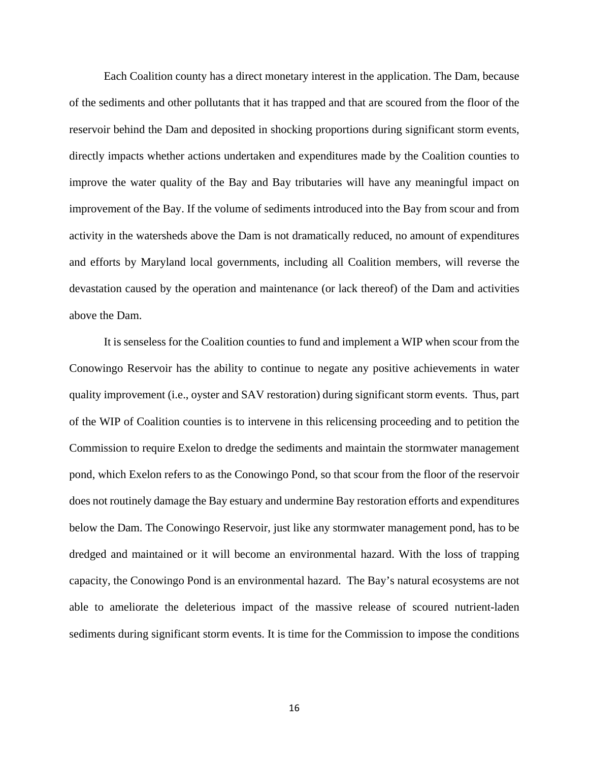Each Coalition county has a direct monetary interest in the application. The Dam, because of the sediments and other pollutants that it has trapped and that are scoured from the floor of the reservoir behind the Dam and deposited in shocking proportions during significant storm events, directly impacts whether actions undertaken and expenditures made by the Coalition counties to improve the water quality of the Bay and Bay tributaries will have any meaningful impact on improvement of the Bay. If the volume of sediments introduced into the Bay from scour and from activity in the watersheds above the Dam is not dramatically reduced, no amount of expenditures and efforts by Maryland local governments, including all Coalition members, will reverse the devastation caused by the operation and maintenance (or lack thereof) of the Dam and activities above the Dam.

It is senseless for the Coalition counties to fund and implement a WIP when scour from the Conowingo Reservoir has the ability to continue to negate any positive achievements in water quality improvement (i.e., oyster and SAV restoration) during significant storm events. Thus, part of the WIP of Coalition counties is to intervene in this relicensing proceeding and to petition the Commission to require Exelon to dredge the sediments and maintain the stormwater management pond, which Exelon refers to as the Conowingo Pond, so that scour from the floor of the reservoir does not routinely damage the Bay estuary and undermine Bay restoration efforts and expenditures below the Dam. The Conowingo Reservoir, just like any stormwater management pond, has to be dredged and maintained or it will become an environmental hazard. With the loss of trapping capacity, the Conowingo Pond is an environmental hazard. The Bay's natural ecosystems are not able to ameliorate the deleterious impact of the massive release of scoured nutrient-laden sediments during significant storm events. It is time for the Commission to impose the conditions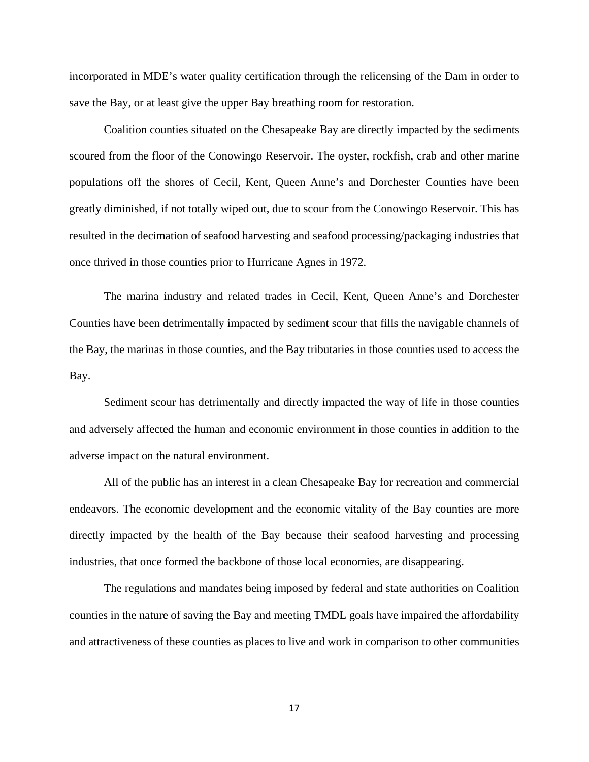incorporated in MDE's water quality certification through the relicensing of the Dam in order to save the Bay, or at least give the upper Bay breathing room for restoration.

Coalition counties situated on the Chesapeake Bay are directly impacted by the sediments scoured from the floor of the Conowingo Reservoir. The oyster, rockfish, crab and other marine populations off the shores of Cecil, Kent, Queen Anne's and Dorchester Counties have been greatly diminished, if not totally wiped out, due to scour from the Conowingo Reservoir. This has resulted in the decimation of seafood harvesting and seafood processing/packaging industries that once thrived in those counties prior to Hurricane Agnes in 1972.

The marina industry and related trades in Cecil, Kent, Queen Anne's and Dorchester Counties have been detrimentally impacted by sediment scour that fills the navigable channels of the Bay, the marinas in those counties, and the Bay tributaries in those counties used to access the Bay.

Sediment scour has detrimentally and directly impacted the way of life in those counties and adversely affected the human and economic environment in those counties in addition to the adverse impact on the natural environment.

All of the public has an interest in a clean Chesapeake Bay for recreation and commercial endeavors. The economic development and the economic vitality of the Bay counties are more directly impacted by the health of the Bay because their seafood harvesting and processing industries, that once formed the backbone of those local economies, are disappearing.

The regulations and mandates being imposed by federal and state authorities on Coalition counties in the nature of saving the Bay and meeting TMDL goals have impaired the affordability and attractiveness of these counties as places to live and work in comparison to other communities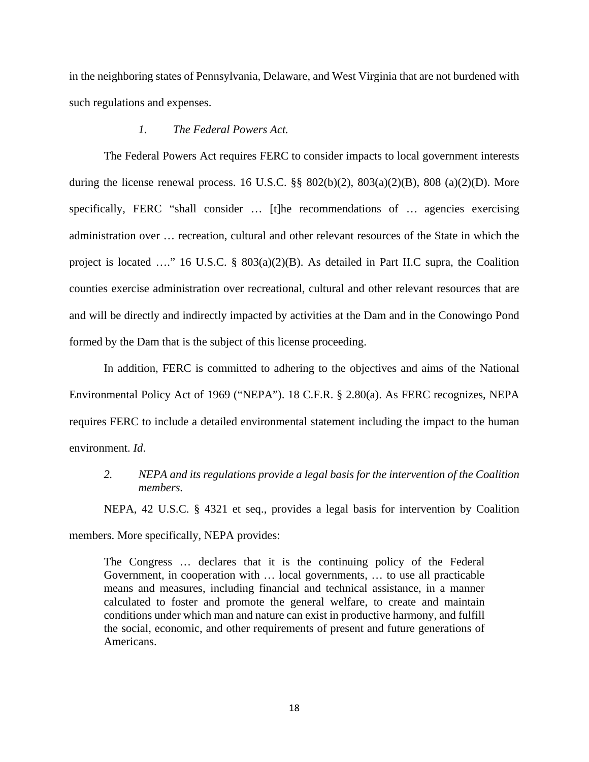in the neighboring states of Pennsylvania, Delaware, and West Virginia that are not burdened with such regulations and expenses.

#### *1. The Federal Powers Act.*

The Federal Powers Act requires FERC to consider impacts to local government interests during the license renewal process. 16 U.S.C.  $\S\S 802(b)(2)$ ,  $803(a)(2)(B)$ ,  $808(a)(2)(D)$ . More specifically, FERC "shall consider ... [t]he recommendations of ... agencies exercising administration over … recreation, cultural and other relevant resources of the State in which the project is located …." 16 U.S.C. § 803(a)(2)(B). As detailed in Part II.C supra, the Coalition counties exercise administration over recreational, cultural and other relevant resources that are and will be directly and indirectly impacted by activities at the Dam and in the Conowingo Pond formed by the Dam that is the subject of this license proceeding.

In addition, FERC is committed to adhering to the objectives and aims of the National Environmental Policy Act of 1969 ("NEPA"). 18 C.F.R. § 2.80(a). As FERC recognizes, NEPA requires FERC to include a detailed environmental statement including the impact to the human environment. *Id*.

*2. NEPA and its regulations provide a legal basis for the intervention of the Coalition members.* 

NEPA, 42 U.S.C. § 4321 et seq., provides a legal basis for intervention by Coalition

members. More specifically, NEPA provides:

The Congress … declares that it is the continuing policy of the Federal Government, in cooperation with … local governments, … to use all practicable means and measures, including financial and technical assistance, in a manner calculated to foster and promote the general welfare, to create and maintain conditions under which man and nature can exist in productive harmony, and fulfill the social, economic, and other requirements of present and future generations of Americans.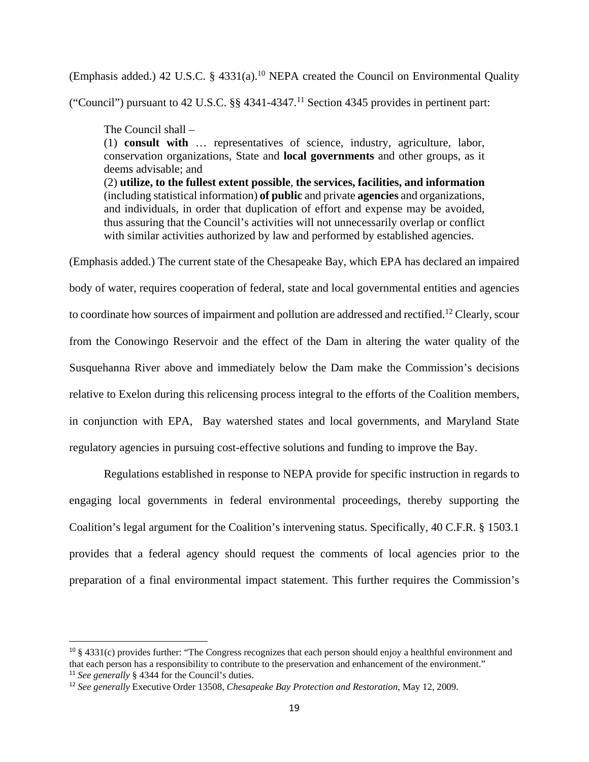(Emphasis added.) 42 U.S.C. § 4331(a).10 NEPA created the Council on Environmental Quality

("Council") pursuant to 42 U.S.C.  $\S$  4341-4347.<sup>11</sup> Section 4345 provides in pertinent part:

The Council shall –

(1) **consult with** … representatives of science, industry, agriculture, labor, conservation organizations, State and **local governments** and other groups, as it deems advisable; and

(2) **utilize, to the fullest extent possible**, **the services, facilities, and information**  (including statistical information) **of public** and private **agencies** and organizations, and individuals, in order that duplication of effort and expense may be avoided, thus assuring that the Council's activities will not unnecessarily overlap or conflict with similar activities authorized by law and performed by established agencies.

(Emphasis added.) The current state of the Chesapeake Bay, which EPA has declared an impaired body of water, requires cooperation of federal, state and local governmental entities and agencies to coordinate how sources of impairment and pollution are addressed and rectified.<sup>12</sup> Clearly, scour from the Conowingo Reservoir and the effect of the Dam in altering the water quality of the Susquehanna River above and immediately below the Dam make the Commission's decisions relative to Exelon during this relicensing process integral to the efforts of the Coalition members, in conjunction with EPA, Bay watershed states and local governments, and Maryland State regulatory agencies in pursuing cost-effective solutions and funding to improve the Bay.

Regulations established in response to NEPA provide for specific instruction in regards to engaging local governments in federal environmental proceedings, thereby supporting the Coalition's legal argument for the Coalition's intervening status. Specifically, 40 C.F.R. § 1503.1 provides that a federal agency should request the comments of local agencies prior to the preparation of a final environmental impact statement. This further requires the Commission's

 $10 \text{ }\frac{10}{3}$  4331(c) provides further: "The Congress recognizes that each person should enjoy a healthful environment and that each person has a responsibility to contribute to the preservation and enhancement of the environment." <sup>11</sup> *See generally* § 4344 for the Council's duties.

<sup>12</sup> *See generally* Executive Order 13508, *Chesapeake Bay Protection and Restoration*, May 12, 2009.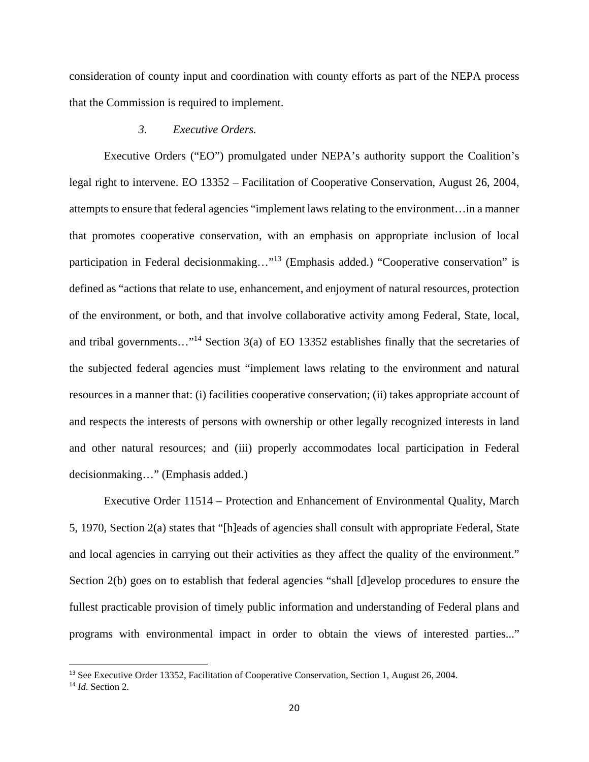consideration of county input and coordination with county efforts as part of the NEPA process that the Commission is required to implement.

#### *3. Executive Orders.*

Executive Orders ("EO") promulgated under NEPA's authority support the Coalition's legal right to intervene. EO 13352 – Facilitation of Cooperative Conservation, August 26, 2004, attempts to ensure that federal agencies "implement laws relating to the environment…in a manner that promotes cooperative conservation, with an emphasis on appropriate inclusion of local participation in Federal decisionmaking…"13 (Emphasis added.) "Cooperative conservation" is defined as "actions that relate to use, enhancement, and enjoyment of natural resources, protection of the environment, or both, and that involve collaborative activity among Federal, State, local, and tribal governments…"14 Section 3(a) of EO 13352 establishes finally that the secretaries of the subjected federal agencies must "implement laws relating to the environment and natural resources in a manner that: (i) facilities cooperative conservation; (ii) takes appropriate account of and respects the interests of persons with ownership or other legally recognized interests in land and other natural resources; and (iii) properly accommodates local participation in Federal decisionmaking…" (Emphasis added.)

Executive Order 11514 – Protection and Enhancement of Environmental Quality, March 5, 1970, Section 2(a) states that "[h]eads of agencies shall consult with appropriate Federal, State and local agencies in carrying out their activities as they affect the quality of the environment." Section 2(b) goes on to establish that federal agencies "shall [d]evelop procedures to ensure the fullest practicable provision of timely public information and understanding of Federal plans and programs with environmental impact in order to obtain the views of interested parties..."

<sup>&</sup>lt;sup>13</sup> See Executive Order 13352, Facilitation of Cooperative Conservation, Section 1, August 26, 2004.

<sup>14</sup> *Id*. Section 2.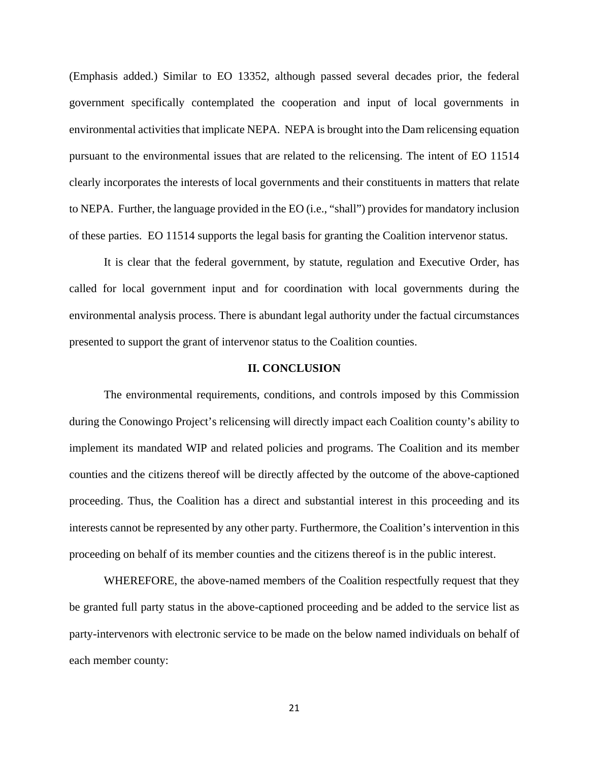(Emphasis added.) Similar to EO 13352, although passed several decades prior, the federal government specifically contemplated the cooperation and input of local governments in environmental activities that implicate NEPA. NEPA is brought into the Dam relicensing equation pursuant to the environmental issues that are related to the relicensing. The intent of EO 11514 clearly incorporates the interests of local governments and their constituents in matters that relate to NEPA. Further, the language provided in the EO (i.e., "shall") provides for mandatory inclusion of these parties. EO 11514 supports the legal basis for granting the Coalition intervenor status.

It is clear that the federal government, by statute, regulation and Executive Order, has called for local government input and for coordination with local governments during the environmental analysis process. There is abundant legal authority under the factual circumstances presented to support the grant of intervenor status to the Coalition counties.

#### **II. CONCLUSION**

The environmental requirements, conditions, and controls imposed by this Commission during the Conowingo Project's relicensing will directly impact each Coalition county's ability to implement its mandated WIP and related policies and programs. The Coalition and its member counties and the citizens thereof will be directly affected by the outcome of the above-captioned proceeding. Thus, the Coalition has a direct and substantial interest in this proceeding and its interests cannot be represented by any other party. Furthermore, the Coalition's intervention in this proceeding on behalf of its member counties and the citizens thereof is in the public interest.

WHEREFORE, the above-named members of the Coalition respectfully request that they be granted full party status in the above-captioned proceeding and be added to the service list as party-intervenors with electronic service to be made on the below named individuals on behalf of each member county: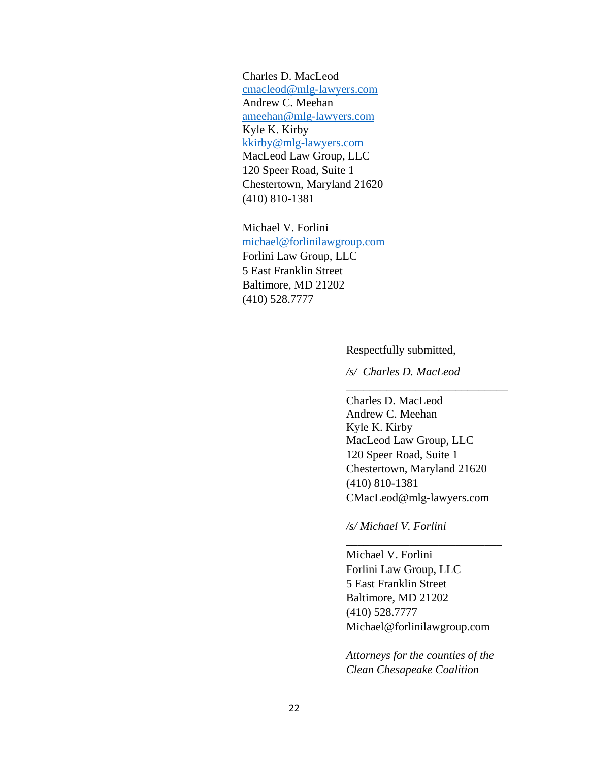Charles D. MacLeod cmacleod@mlg-lawyers.com Andrew C. Meehan ameehan@mlg-lawyers.com Kyle K. Kirby kkirby@mlg-lawyers.com MacLeod Law Group, LLC 120 Speer Road, Suite 1 Chestertown, Maryland 21620 (410) 810-1381

Michael V. Forlini michael@forlinilawgroup.com Forlini Law Group, LLC 5 East Franklin Street Baltimore, MD 21202 (410) 528.7777

Respectfully submitted,

*/s/ Charles D. MacLeod*

 $\overline{\phantom{a}}$  ,  $\overline{\phantom{a}}$  ,  $\overline{\phantom{a}}$  ,  $\overline{\phantom{a}}$  ,  $\overline{\phantom{a}}$  ,  $\overline{\phantom{a}}$  ,  $\overline{\phantom{a}}$  ,  $\overline{\phantom{a}}$  ,  $\overline{\phantom{a}}$  ,  $\overline{\phantom{a}}$  ,  $\overline{\phantom{a}}$  ,  $\overline{\phantom{a}}$  ,  $\overline{\phantom{a}}$  ,  $\overline{\phantom{a}}$  ,  $\overline{\phantom{a}}$  ,  $\overline{\phantom{a}}$ 

Charles D. MacLeod Andrew C. Meehan Kyle K. Kirby MacLeod Law Group, LLC 120 Speer Road, Suite 1 Chestertown, Maryland 21620 (410) 810-1381 CMacLeod@mlg-lawyers.com

*/s/ Michael V. Forlini*

Michael V. Forlini Forlini Law Group, LLC 5 East Franklin Street Baltimore, MD 21202 (410) 528.7777 Michael@forlinilawgroup.com

\_\_\_\_\_\_\_\_\_\_\_\_\_\_\_\_\_\_\_\_\_\_\_\_\_\_\_

*Attorneys for the counties of the Clean Chesapeake Coalition*